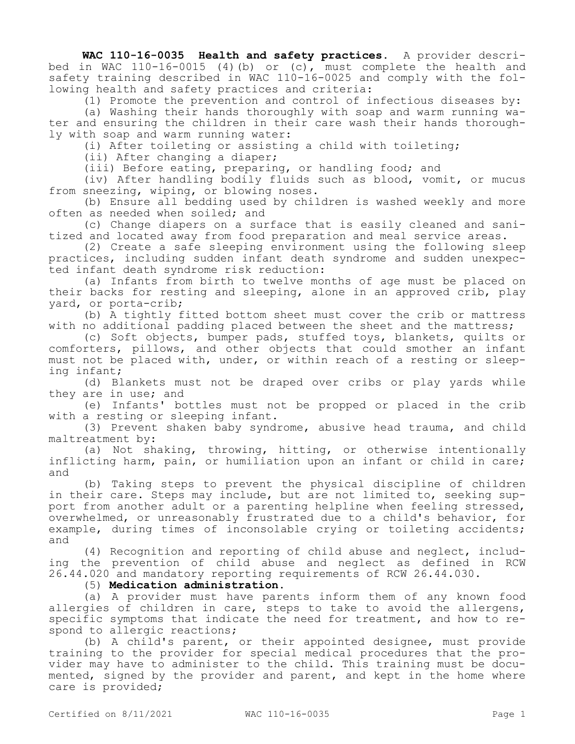**WAC 110-16-0035 Health and safety practices.** A provider described in WAC  $110-16-0015$  (4)(b) or (c), must complete the health and safety training described in WAC 110-16-0025 and comply with the following health and safety practices and criteria:

(1) Promote the prevention and control of infectious diseases by:

(a) Washing their hands thoroughly with soap and warm running water and ensuring the children in their care wash their hands thoroughly with soap and warm running water:

(i) After toileting or assisting a child with toileting;

(ii) After changing a diaper;

(iii) Before eating, preparing, or handling food; and

(iv) After handling bodily fluids such as blood, vomit, or mucus from sneezing, wiping, or blowing noses.

(b) Ensure all bedding used by children is washed weekly and more often as needed when soiled; and

(c) Change diapers on a surface that is easily cleaned and sanitized and located away from food preparation and meal service areas.

(2) Create a safe sleeping environment using the following sleep practices, including sudden infant death syndrome and sudden unexpected infant death syndrome risk reduction:

(a) Infants from birth to twelve months of age must be placed on their backs for resting and sleeping, alone in an approved crib, play yard, or porta-crib;

(b) A tightly fitted bottom sheet must cover the crib or mattress with no additional padding placed between the sheet and the mattress;

(c) Soft objects, bumper pads, stuffed toys, blankets, quilts or comforters, pillows, and other objects that could smother an infant must not be placed with, under, or within reach of a resting or sleeping infant;

(d) Blankets must not be draped over cribs or play yards while they are in use; and

(e) Infants' bottles must not be propped or placed in the crib with a resting or sleeping infant.

(3) Prevent shaken baby syndrome, abusive head trauma, and child maltreatment by:

(a) Not shaking, throwing, hitting, or otherwise intentionally inflicting harm, pain, or humiliation upon an infant or child in care; and

(b) Taking steps to prevent the physical discipline of children in their care. Steps may include, but are not limited to, seeking support from another adult or a parenting helpline when feeling stressed, overwhelmed, or unreasonably frustrated due to a child's behavior, for example, during times of inconsolable crying or toileting accidents; and

(4) Recognition and reporting of child abuse and neglect, including the prevention of child abuse and neglect as defined in RCW 26.44.020 and mandatory reporting requirements of RCW 26.44.030.

(5) **Medication administration.**

(a) A provider must have parents inform them of any known food allergies of children in care, steps to take to avoid the allergens, specific symptoms that indicate the need for treatment, and how to respond to allergic reactions;

(b) A child's parent, or their appointed designee, must provide training to the provider for special medical procedures that the provider may have to administer to the child. This training must be documented, signed by the provider and parent, and kept in the home where care is provided;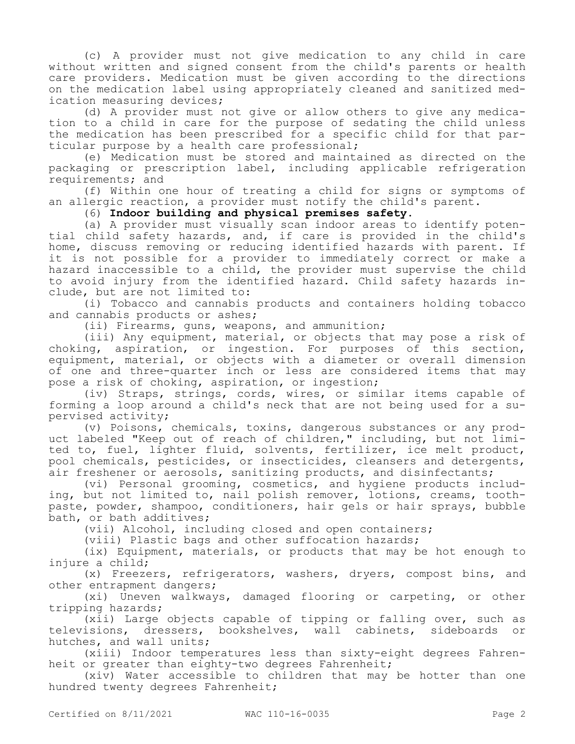(c) A provider must not give medication to any child in care without written and signed consent from the child's parents or health care providers. Medication must be given according to the directions on the medication label using appropriately cleaned and sanitized medication measuring devices;

(d) A provider must not give or allow others to give any medication to a child in care for the purpose of sedating the child unless the medication has been prescribed for a specific child for that particular purpose by a health care professional;

(e) Medication must be stored and maintained as directed on the packaging or prescription label, including applicable refrigeration requirements; and

(f) Within one hour of treating a child for signs or symptoms of an allergic reaction, a provider must notify the child's parent.

## (6) **Indoor building and physical premises safety.**

(a) A provider must visually scan indoor areas to identify potential child safety hazards, and, if care is provided in the child's home, discuss removing or reducing identified hazards with parent. If it is not possible for a provider to immediately correct or make a hazard inaccessible to a child, the provider must supervise the child to avoid injury from the identified hazard. Child safety hazards include, but are not limited to:

(i) Tobacco and cannabis products and containers holding tobacco and cannabis products or ashes;

(ii) Firearms, guns, weapons, and ammunition;

(iii) Any equipment, material, or objects that may pose a risk of choking, aspiration, or ingestion. For purposes of this section, equipment, material, or objects with a diameter or overall dimension of one and three-quarter inch or less are considered items that may pose a risk of choking, aspiration, or ingestion;

(iv) Straps, strings, cords, wires, or similar items capable of forming a loop around a child's neck that are not being used for a supervised activity;

(v) Poisons, chemicals, toxins, dangerous substances or any product labeled "Keep out of reach of children," including, but not limited to, fuel, lighter fluid, solvents, fertilizer, ice melt product, pool chemicals, pesticides, or insecticides, cleansers and detergents, air freshener or aerosols, sanitizing products, and disinfectants;

(vi) Personal grooming, cosmetics, and hygiene products including, but not limited to, nail polish remover, lotions, creams, toothpaste, powder, shampoo, conditioners, hair gels or hair sprays, bubble bath, or bath additives;

(vii) Alcohol, including closed and open containers;

(viii) Plastic bags and other suffocation hazards;

(ix) Equipment, materials, or products that may be hot enough to injure a child;

(x) Freezers, refrigerators, washers, dryers, compost bins, and other entrapment dangers;

(xi) Uneven walkways, damaged flooring or carpeting, or other tripping hazards;

(xii) Large objects capable of tipping or falling over, such as televisions, dressers, bookshelves, wall cabinets, sideboards or hutches, and wall units;

(xiii) Indoor temperatures less than sixty-eight degrees Fahrenheit or greater than eighty-two degrees Fahrenheit;

(xiv) Water accessible to children that may be hotter than one hundred twenty degrees Fahrenheit;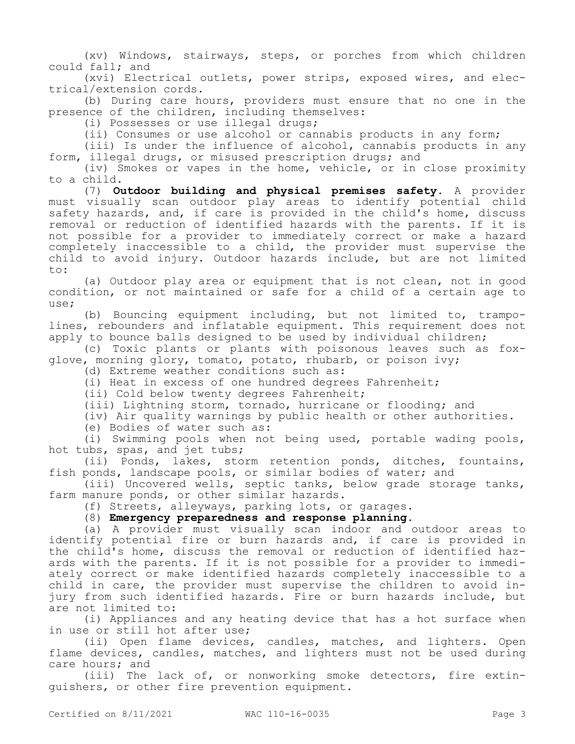(xv) Windows, stairways, steps, or porches from which children could fall; and

(xvi) Electrical outlets, power strips, exposed wires, and electrical/extension cords.

(b) During care hours, providers must ensure that no one in the presence of the children, including themselves:

(i) Possesses or use illegal drugs;

(ii) Consumes or use alcohol or cannabis products in any form;

(iii) Is under the influence of alcohol, cannabis products in any form, illegal drugs, or misused prescription drugs; and

(iv) Smokes or vapes in the home, vehicle, or in close proximity to a child.

(7) **Outdoor building and physical premises safety.** A provider must visually scan outdoor play areas to identify potential child safety hazards, and, if care is provided in the child's home, discuss removal or reduction of identified hazards with the parents. If it is not possible for a provider to immediately correct or make a hazard completely inaccessible to a child, the provider must supervise the child to avoid injury. Outdoor hazards include, but are not limited to:

(a) Outdoor play area or equipment that is not clean, not in good condition, or not maintained or safe for a child of a certain age to use;

(b) Bouncing equipment including, but not limited to, trampolines, rebounders and inflatable equipment. This requirement does not apply to bounce balls designed to be used by individual children;

(c) Toxic plants or plants with poisonous leaves such as foxglove, morning glory, tomato, potato, rhubarb, or poison ivy;

(d) Extreme weather conditions such as:

(i) Heat in excess of one hundred degrees Fahrenheit;

(ii) Cold below twenty degrees Fahrenheit;

(iii) Lightning storm, tornado, hurricane or flooding; and

(iv) Air quality warnings by public health or other authorities.

(e) Bodies of water such as:

(i) Swimming pools when not being used, portable wading pools, hot tubs, spas, and jet tubs;

(ii) Ponds, lakes, storm retention ponds, ditches, fountains, fish ponds, landscape pools, or similar bodies of water; and

(iii) Uncovered wells, septic tanks, below grade storage tanks, farm manure ponds, or other similar hazards.

(f) Streets, alleyways, parking lots, or garages.

(8) **Emergency preparedness and response planning.**

(a) A provider must visually scan indoor and outdoor areas to identify potential fire or burn hazards and, if care is provided in the child's home, discuss the removal or reduction of identified hazards with the parents. If it is not possible for a provider to immediately correct or make identified hazards completely inaccessible to a child in care, the provider must supervise the children to avoid injury from such identified hazards. Fire or burn hazards include, but are not limited to:

(i) Appliances and any heating device that has a hot surface when in use or still hot after use;

(ii) Open flame devices, candles, matches, and lighters. Open flame devices, candles, matches, and lighters must not be used during care hours; and

(iii) The lack of, or nonworking smoke detectors, fire extinguishers, or other fire prevention equipment.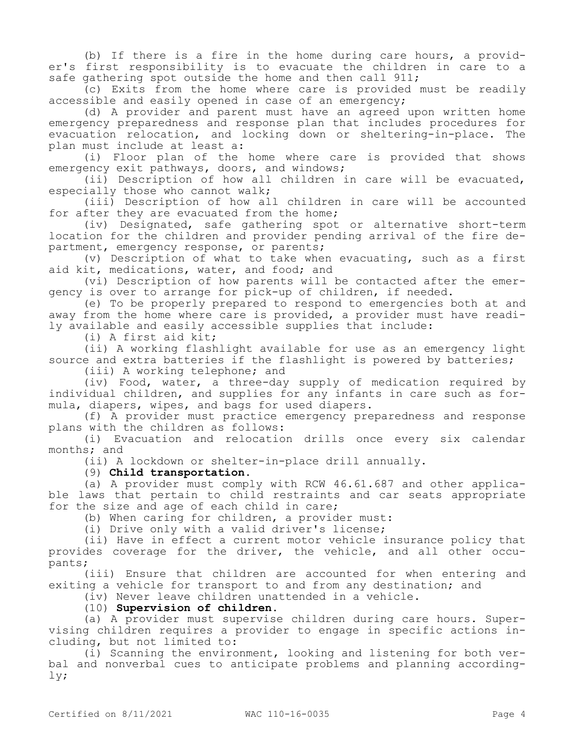(b) If there is a fire in the home during care hours, a provider's first responsibility is to evacuate the children in care to a safe gathering spot outside the home and then call 911;

(c) Exits from the home where care is provided must be readily accessible and easily opened in case of an emergency;

(d) A provider and parent must have an agreed upon written home emergency preparedness and response plan that includes procedures for evacuation relocation, and locking down or sheltering-in-place. The plan must include at least a:

(i) Floor plan of the home where care is provided that shows emergency exit pathways, doors, and windows;

(ii) Description of how all children in care will be evacuated, especially those who cannot walk;

(iii) Description of how all children in care will be accounted for after they are evacuated from the home;

(iv) Designated, safe gathering spot or alternative short-term location for the children and provider pending arrival of the fire department, emergency response, or parents;

(v) Description of what to take when evacuating, such as a first aid kit, medications, water, and food; and

(vi) Description of how parents will be contacted after the emergency is over to arrange for pick-up of children, if needed.

(e) To be properly prepared to respond to emergencies both at and away from the home where care is provided, a provider must have readily available and easily accessible supplies that include:

(i) A first aid kit;

(ii) A working flashlight available for use as an emergency light source and extra batteries if the flashlight is powered by batteries;

(iii) A working telephone; and

(iv) Food, water, a three-day supply of medication required by individual children, and supplies for any infants in care such as formula, diapers, wipes, and bags for used diapers.

(f) A provider must practice emergency preparedness and response plans with the children as follows:

(i) Evacuation and relocation drills once every six calendar months; and

(ii) A lockdown or shelter-in-place drill annually.

(9) **Child transportation.**

(a) A provider must comply with RCW 46.61.687 and other applicable laws that pertain to child restraints and car seats appropriate for the size and age of each child in care;

(b) When caring for children, a provider must:

(i) Drive only with a valid driver's license;

(ii) Have in effect a current motor vehicle insurance policy that provides coverage for the driver, the vehicle, and all other occupants;

(iii) Ensure that children are accounted for when entering and exiting a vehicle for transport to and from any destination; and

(iv) Never leave children unattended in a vehicle.

(10) **Supervision of children.**

(a) A provider must supervise children during care hours. Supervising children requires a provider to engage in specific actions including, but not limited to:

(i) Scanning the environment, looking and listening for both verbal and nonverbal cues to anticipate problems and planning accordingly;